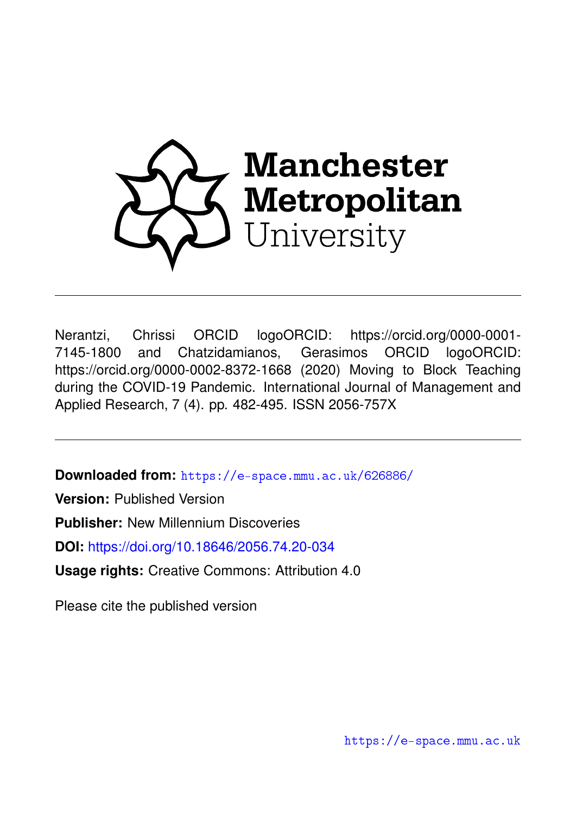

Nerantzi, Chrissi ORCID logoORCID: https://orcid.org/0000-0001- 7145-1800 and Chatzidamianos, Gerasimos ORCID logoORCID: https://orcid.org/0000-0002-8372-1668 (2020) Moving to Block Teaching during the COVID-19 Pandemic. International Journal of Management and Applied Research, 7 (4). pp. 482-495. ISSN 2056-757X

**Downloaded from:** <https://e-space.mmu.ac.uk/626886/>

**Version:** Published Version

**Publisher:** New Millennium Discoveries

**DOI:** <https://doi.org/10.18646/2056.74.20-034>

**Usage rights:** Creative Commons: Attribution 4.0

Please cite the published version

<https://e-space.mmu.ac.uk>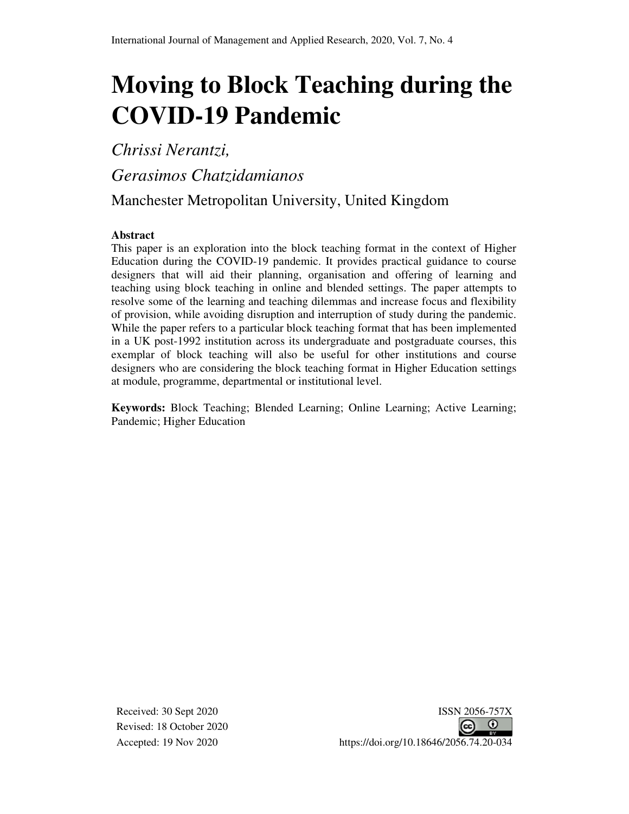# **Moving to Block Teaching during the COVID-19 Pandemic**

*Chrissi Nerantzi,* 

*Gerasimos Chatzidamianos*

Manchester Metropolitan University, United Kingdom

#### **Abstract**

This paper is an exploration into the block teaching format in the context of Higher Education during the COVID-19 pandemic. It provides practical guidance to course designers that will aid their planning, organisation and offering of learning and teaching using block teaching in online and blended settings. The paper attempts to resolve some of the learning and teaching dilemmas and increase focus and flexibility of provision, while avoiding disruption and interruption of study during the pandemic. While the paper refers to a particular block teaching format that has been implemented in a UK post-1992 institution across its undergraduate and postgraduate courses, this exemplar of block teaching will also be useful for other institutions and course designers who are considering the block teaching format in Higher Education settings at module, programme, departmental or institutional level.

**Keywords:** Block Teaching; Blended Learning; Online Learning; Active Learning; Pandemic; Higher Education

Revised: 18 October 2020

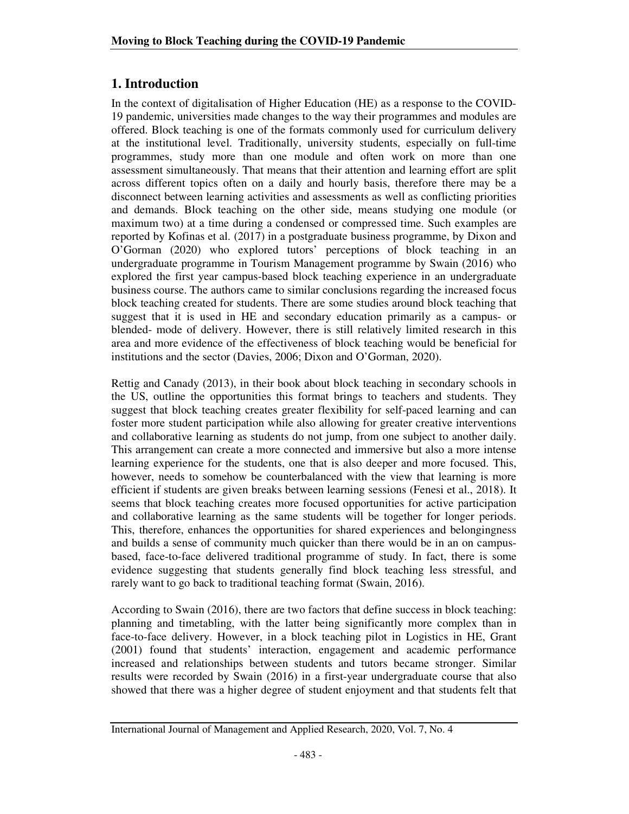## **1. Introduction**

In the context of digitalisation of Higher Education (HE) as a response to the COVID-19 pandemic, universities made changes to the way their programmes and modules are offered. Block teaching is one of the formats commonly used for curriculum delivery at the institutional level. Traditionally, university students, especially on full-time programmes, study more than one module and often work on more than one assessment simultaneously. That means that their attention and learning effort are split across different topics often on a daily and hourly basis, therefore there may be a disconnect between learning activities and assessments as well as conflicting priorities and demands. Block teaching on the other side, means studying one module (or maximum two) at a time during a condensed or compressed time. Such examples are reported by Kofinas et al. (2017) in a postgraduate business programme, by Dixon and O'Gorman (2020) who explored tutors' perceptions of block teaching in an undergraduate programme in Tourism Management programme by Swain (2016) who explored the first year campus-based block teaching experience in an undergraduate business course. The authors came to similar conclusions regarding the increased focus block teaching created for students. There are some studies around block teaching that suggest that it is used in HE and secondary education primarily as a campus- or blended- mode of delivery. However, there is still relatively limited research in this area and more evidence of the effectiveness of block teaching would be beneficial for institutions and the sector (Davies, 2006; Dixon and O'Gorman, 2020).

Rettig and Canady (2013), in their book about block teaching in secondary schools in the US, outline the opportunities this format brings to teachers and students. They suggest that block teaching creates greater flexibility for self-paced learning and can foster more student participation while also allowing for greater creative interventions and collaborative learning as students do not jump, from one subject to another daily. This arrangement can create a more connected and immersive but also a more intense learning experience for the students, one that is also deeper and more focused. This, however, needs to somehow be counterbalanced with the view that learning is more efficient if students are given breaks between learning sessions (Fenesi et al., 2018). It seems that block teaching creates more focused opportunities for active participation and collaborative learning as the same students will be together for longer periods. This, therefore, enhances the opportunities for shared experiences and belongingness and builds a sense of community much quicker than there would be in an on campusbased, face-to-face delivered traditional programme of study. In fact, there is some evidence suggesting that students generally find block teaching less stressful, and rarely want to go back to traditional teaching format (Swain, 2016).

According to Swain (2016), there are two factors that define success in block teaching: planning and timetabling, with the latter being significantly more complex than in face-to-face delivery. However, in a block teaching pilot in Logistics in HE, Grant (2001) found that students' interaction, engagement and academic performance increased and relationships between students and tutors became stronger. Similar results were recorded by Swain (2016) in a first-year undergraduate course that also showed that there was a higher degree of student enjoyment and that students felt that

International Journal of Management and Applied Research, 2020, Vol. 7, No. 4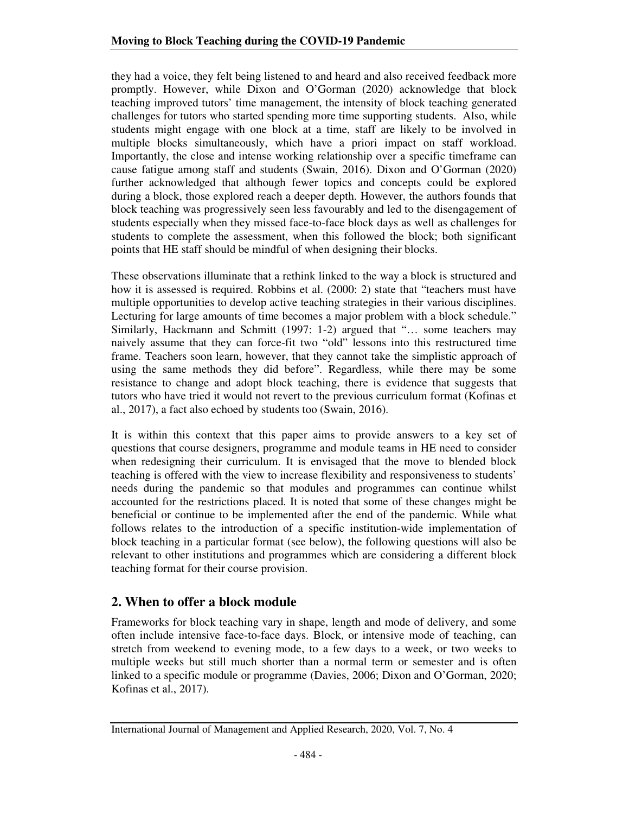they had a voice, they felt being listened to and heard and also received feedback more promptly. However, while Dixon and O'Gorman (2020) acknowledge that block teaching improved tutors' time management, the intensity of block teaching generated challenges for tutors who started spending more time supporting students. Also, while students might engage with one block at a time, staff are likely to be involved in multiple blocks simultaneously, which have a priori impact on staff workload. Importantly, the close and intense working relationship over a specific timeframe can cause fatigue among staff and students (Swain, 2016). Dixon and O'Gorman (2020) further acknowledged that although fewer topics and concepts could be explored during a block, those explored reach a deeper depth. However, the authors founds that block teaching was progressively seen less favourably and led to the disengagement of students especially when they missed face-to-face block days as well as challenges for students to complete the assessment, when this followed the block; both significant points that HE staff should be mindful of when designing their blocks.

These observations illuminate that a rethink linked to the way a block is structured and how it is assessed is required. Robbins et al. (2000: 2) state that "teachers must have multiple opportunities to develop active teaching strategies in their various disciplines. Lecturing for large amounts of time becomes a major problem with a block schedule." Similarly, Hackmann and Schmitt (1997: 1-2) argued that "… some teachers may naively assume that they can force-fit two "old" lessons into this restructured time frame. Teachers soon learn, however, that they cannot take the simplistic approach of using the same methods they did before". Regardless, while there may be some resistance to change and adopt block teaching, there is evidence that suggests that tutors who have tried it would not revert to the previous curriculum format (Kofinas et al., 2017), a fact also echoed by students too (Swain, 2016).

It is within this context that this paper aims to provide answers to a key set of questions that course designers, programme and module teams in HE need to consider when redesigning their curriculum. It is envisaged that the move to blended block teaching is offered with the view to increase flexibility and responsiveness to students' needs during the pandemic so that modules and programmes can continue whilst accounted for the restrictions placed. It is noted that some of these changes might be beneficial or continue to be implemented after the end of the pandemic. While what follows relates to the introduction of a specific institution-wide implementation of block teaching in a particular format (see below), the following questions will also be relevant to other institutions and programmes which are considering a different block teaching format for their course provision.

## **2. When to offer a block module**

Frameworks for block teaching vary in shape, length and mode of delivery, and some often include intensive face-to-face days. Block, or intensive mode of teaching, can stretch from weekend to evening mode, to a few days to a week, or two weeks to multiple weeks but still much shorter than a normal term or semester and is often linked to a specific module or programme (Davies, 2006; Dixon and O'Gorman, 2020; Kofinas et al., 2017).

International Journal of Management and Applied Research, 2020, Vol. 7, No. 4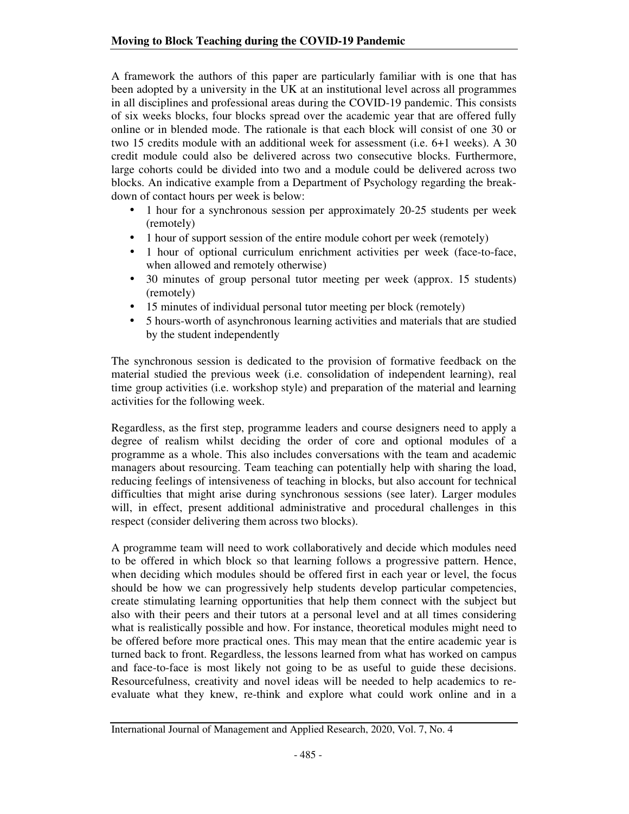A framework the authors of this paper are particularly familiar with is one that has been adopted by a university in the UK at an institutional level across all programmes in all disciplines and professional areas during the COVID-19 pandemic. This consists of six weeks blocks, four blocks spread over the academic year that are offered fully online or in blended mode. The rationale is that each block will consist of one 30 or two 15 credits module with an additional week for assessment (i.e. 6+1 weeks). A 30 credit module could also be delivered across two consecutive blocks. Furthermore, large cohorts could be divided into two and a module could be delivered across two blocks. An indicative example from a Department of Psychology regarding the breakdown of contact hours per week is below:

- 1 hour for a synchronous session per approximately 20-25 students per week (remotely)
- 1 hour of support session of the entire module cohort per week (remotely)
- 1 hour of optional curriculum enrichment activities per week (face-to-face, when allowed and remotely otherwise)
- 30 minutes of group personal tutor meeting per week (approx. 15 students) (remotely)
- 15 minutes of individual personal tutor meeting per block (remotely)
- 5 hours-worth of asynchronous learning activities and materials that are studied by the student independently

The synchronous session is dedicated to the provision of formative feedback on the material studied the previous week (i.e. consolidation of independent learning), real time group activities (i.e. workshop style) and preparation of the material and learning activities for the following week.

Regardless, as the first step, programme leaders and course designers need to apply a degree of realism whilst deciding the order of core and optional modules of a programme as a whole. This also includes conversations with the team and academic managers about resourcing. Team teaching can potentially help with sharing the load, reducing feelings of intensiveness of teaching in blocks, but also account for technical difficulties that might arise during synchronous sessions (see later). Larger modules will, in effect, present additional administrative and procedural challenges in this respect (consider delivering them across two blocks).

A programme team will need to work collaboratively and decide which modules need to be offered in which block so that learning follows a progressive pattern. Hence, when deciding which modules should be offered first in each year or level, the focus should be how we can progressively help students develop particular competencies, create stimulating learning opportunities that help them connect with the subject but also with their peers and their tutors at a personal level and at all times considering what is realistically possible and how. For instance, theoretical modules might need to be offered before more practical ones. This may mean that the entire academic year is turned back to front. Regardless, the lessons learned from what has worked on campus and face-to-face is most likely not going to be as useful to guide these decisions. Resourcefulness, creativity and novel ideas will be needed to help academics to reevaluate what they knew, re-think and explore what could work online and in a

International Journal of Management and Applied Research, 2020, Vol. 7, No. 4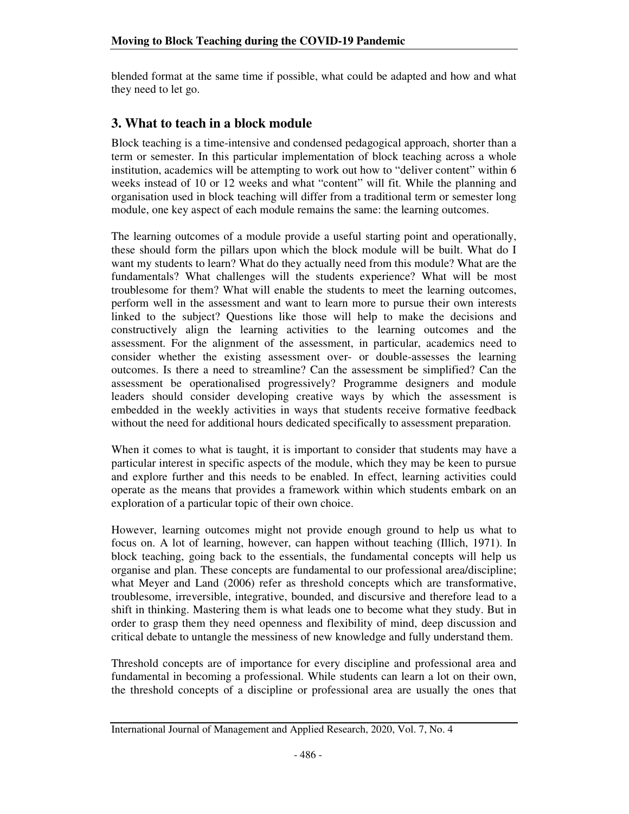blended format at the same time if possible, what could be adapted and how and what they need to let go.

### **3. What to teach in a block module**

Block teaching is a time-intensive and condensed pedagogical approach, shorter than a term or semester. In this particular implementation of block teaching across a whole institution, academics will be attempting to work out how to "deliver content" within 6 weeks instead of 10 or 12 weeks and what "content" will fit. While the planning and organisation used in block teaching will differ from a traditional term or semester long module, one key aspect of each module remains the same: the learning outcomes.

The learning outcomes of a module provide a useful starting point and operationally, these should form the pillars upon which the block module will be built. What do I want my students to learn? What do they actually need from this module? What are the fundamentals? What challenges will the students experience? What will be most troublesome for them? What will enable the students to meet the learning outcomes, perform well in the assessment and want to learn more to pursue their own interests linked to the subject? Questions like those will help to make the decisions and constructively align the learning activities to the learning outcomes and the assessment. For the alignment of the assessment, in particular, academics need to consider whether the existing assessment over- or double-assesses the learning outcomes. Is there a need to streamline? Can the assessment be simplified? Can the assessment be operationalised progressively? Programme designers and module leaders should consider developing creative ways by which the assessment is embedded in the weekly activities in ways that students receive formative feedback without the need for additional hours dedicated specifically to assessment preparation.

When it comes to what is taught, it is important to consider that students may have a particular interest in specific aspects of the module, which they may be keen to pursue and explore further and this needs to be enabled. In effect, learning activities could operate as the means that provides a framework within which students embark on an exploration of a particular topic of their own choice.

However, learning outcomes might not provide enough ground to help us what to focus on. A lot of learning, however, can happen without teaching (Illich, 1971). In block teaching, going back to the essentials, the fundamental concepts will help us organise and plan. These concepts are fundamental to our professional area/discipline; what Meyer and Land (2006) refer as threshold concepts which are transformative, troublesome, irreversible, integrative, bounded, and discursive and therefore lead to a shift in thinking. Mastering them is what leads one to become what they study. But in order to grasp them they need openness and flexibility of mind, deep discussion and critical debate to untangle the messiness of new knowledge and fully understand them.

Threshold concepts are of importance for every discipline and professional area and fundamental in becoming a professional. While students can learn a lot on their own, the threshold concepts of a discipline or professional area are usually the ones that

International Journal of Management and Applied Research, 2020, Vol. 7, No. 4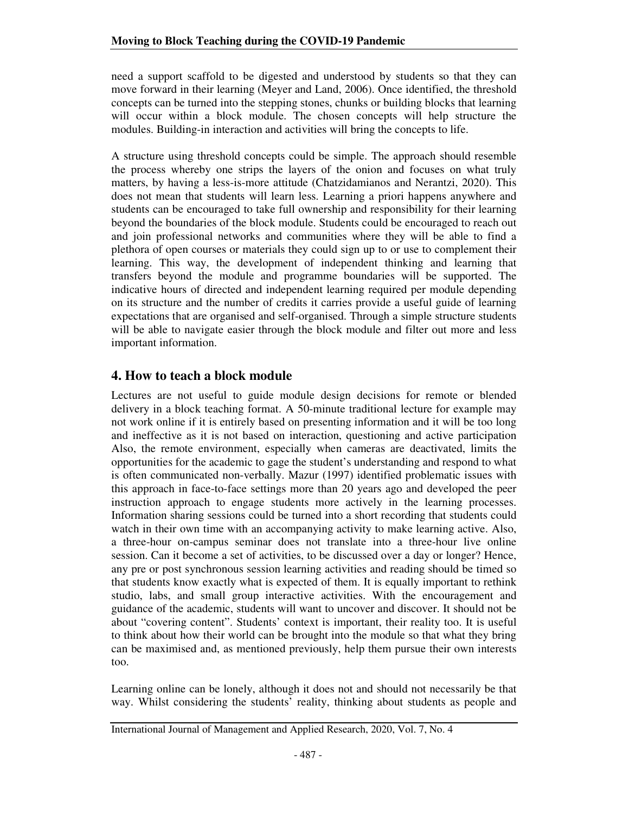need a support scaffold to be digested and understood by students so that they can move forward in their learning (Meyer and Land, 2006). Once identified, the threshold concepts can be turned into the stepping stones, chunks or building blocks that learning will occur within a block module. The chosen concepts will help structure the modules. Building-in interaction and activities will bring the concepts to life.

A structure using threshold concepts could be simple. The approach should resemble the process whereby one strips the layers of the onion and focuses on what truly matters, by having a less-is-more attitude (Chatzidamianos and Nerantzi, 2020). This does not mean that students will learn less. Learning a priori happens anywhere and students can be encouraged to take full ownership and responsibility for their learning beyond the boundaries of the block module. Students could be encouraged to reach out and join professional networks and communities where they will be able to find a plethora of open courses or materials they could sign up to or use to complement their learning. This way, the development of independent thinking and learning that transfers beyond the module and programme boundaries will be supported. The indicative hours of directed and independent learning required per module depending on its structure and the number of credits it carries provide a useful guide of learning expectations that are organised and self-organised. Through a simple structure students will be able to navigate easier through the block module and filter out more and less important information.

## **4. How to teach a block module**

Lectures are not useful to guide module design decisions for remote or blended delivery in a block teaching format. A 50-minute traditional lecture for example may not work online if it is entirely based on presenting information and it will be too long and ineffective as it is not based on interaction, questioning and active participation Also, the remote environment, especially when cameras are deactivated, limits the opportunities for the academic to gage the student's understanding and respond to what is often communicated non-verbally. Mazur (1997) identified problematic issues with this approach in face-to-face settings more than 20 years ago and developed the peer instruction approach to engage students more actively in the learning processes. Information sharing sessions could be turned into a short recording that students could watch in their own time with an accompanying activity to make learning active. Also, a three-hour on-campus seminar does not translate into a three-hour live online session. Can it become a set of activities, to be discussed over a day or longer? Hence, any pre or post synchronous session learning activities and reading should be timed so that students know exactly what is expected of them. It is equally important to rethink studio, labs, and small group interactive activities. With the encouragement and guidance of the academic, students will want to uncover and discover. It should not be about "covering content". Students' context is important, their reality too. It is useful to think about how their world can be brought into the module so that what they bring can be maximised and, as mentioned previously, help them pursue their own interests too.

Learning online can be lonely, although it does not and should not necessarily be that way. Whilst considering the students' reality, thinking about students as people and

International Journal of Management and Applied Research, 2020, Vol. 7, No. 4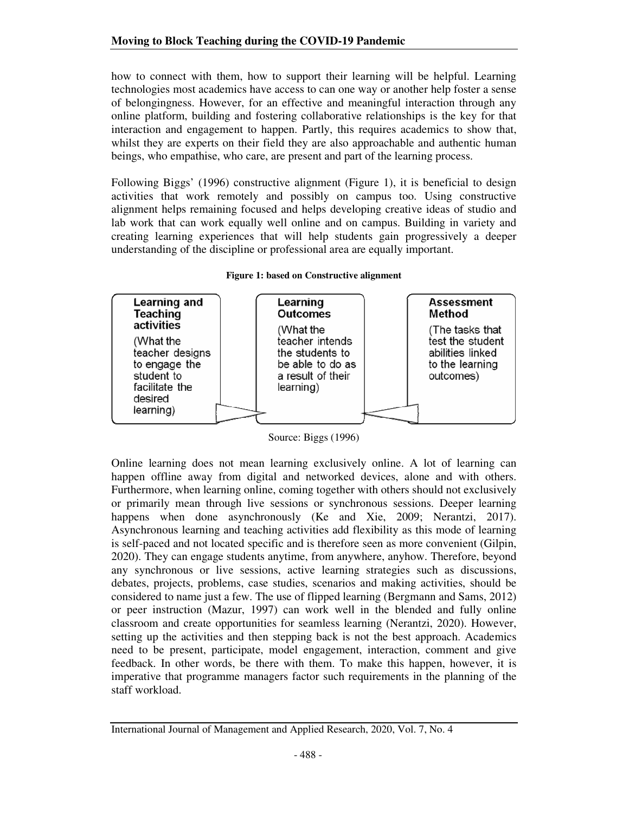how to connect with them, how to support their learning will be helpful. Learning technologies most academics have access to can one way or another help foster a sense of belongingness. However, for an effective and meaningful interaction through any online platform, building and fostering collaborative relationships is the key for that interaction and engagement to happen. Partly, this requires academics to show that, whilst they are experts on their field they are also approachable and authentic human beings, who empathise, who care, are present and part of the learning process.

Following Biggs' (1996) constructive alignment (Figure 1), it is beneficial to design activities that work remotely and possibly on campus too. Using constructive alignment helps remaining focused and helps developing creative ideas of studio and lab work that can work equally well online and on campus. Building in variety and creating learning experiences that will help students gain progressively a deeper understanding of the discipline or professional area are equally important.



**Figure 1: based on Constructive alignment** 

Online learning does not mean learning exclusively online. A lot of learning can happen offline away from digital and networked devices, alone and with others. Furthermore, when learning online, coming together with others should not exclusively or primarily mean through live sessions or synchronous sessions. Deeper learning happens when done asynchronously (Ke and Xie, 2009; Nerantzi, 2017). Asynchronous learning and teaching activities add flexibility as this mode of learning is self-paced and not located specific and is therefore seen as more convenient (Gilpin, 2020). They can engage students anytime, from anywhere, anyhow. Therefore, beyond any synchronous or live sessions, active learning strategies such as discussions, debates, projects, problems, case studies, scenarios and making activities, should be considered to name just a few. The use of flipped learning (Bergmann and Sams, 2012) or peer instruction (Mazur, 1997) can work well in the blended and fully online classroom and create opportunities for seamless learning (Nerantzi, 2020). However, setting up the activities and then stepping back is not the best approach. Academics need to be present, participate, model engagement, interaction, comment and give feedback. In other words, be there with them. To make this happen, however, it is imperative that programme managers factor such requirements in the planning of the staff workload.

Source: Biggs (1996)

International Journal of Management and Applied Research, 2020, Vol. 7, No. 4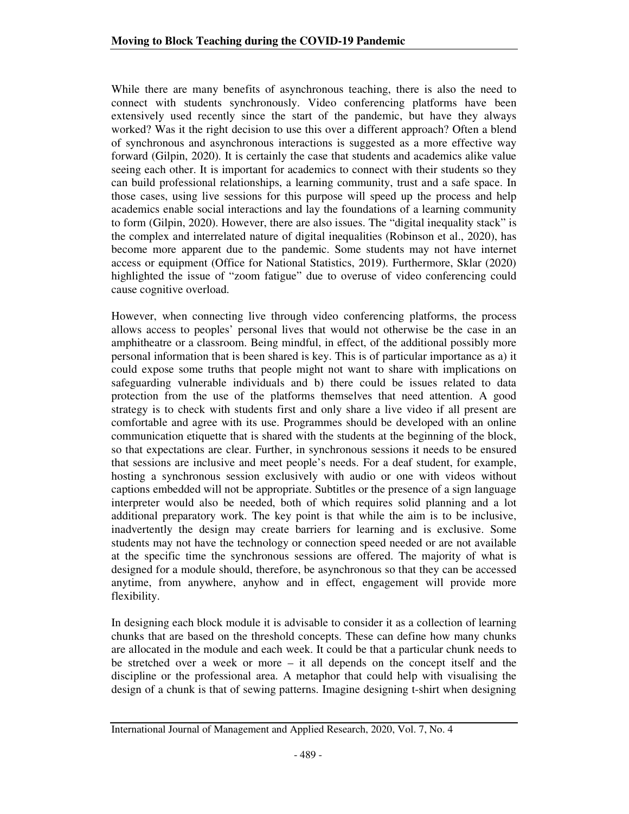While there are many benefits of asynchronous teaching, there is also the need to connect with students synchronously. Video conferencing platforms have been extensively used recently since the start of the pandemic, but have they always worked? Was it the right decision to use this over a different approach? Often a blend of synchronous and asynchronous interactions is suggested as a more effective way forward (Gilpin, 2020). It is certainly the case that students and academics alike value seeing each other. It is important for academics to connect with their students so they can build professional relationships, a learning community, trust and a safe space. In those cases, using live sessions for this purpose will speed up the process and help academics enable social interactions and lay the foundations of a learning community to form (Gilpin, 2020). However, there are also issues. The "digital inequality stack" is the complex and interrelated nature of digital inequalities (Robinson et al., 2020), has become more apparent due to the pandemic. Some students may not have internet access or equipment (Office for National Statistics, 2019). Furthermore, Sklar (2020) highlighted the issue of "zoom fatigue" due to overuse of video conferencing could cause cognitive overload.

However, when connecting live through video conferencing platforms, the process allows access to peoples' personal lives that would not otherwise be the case in an amphitheatre or a classroom. Being mindful, in effect, of the additional possibly more personal information that is been shared is key. This is of particular importance as a) it could expose some truths that people might not want to share with implications on safeguarding vulnerable individuals and b) there could be issues related to data protection from the use of the platforms themselves that need attention. A good strategy is to check with students first and only share a live video if all present are comfortable and agree with its use. Programmes should be developed with an online communication etiquette that is shared with the students at the beginning of the block, so that expectations are clear. Further, in synchronous sessions it needs to be ensured that sessions are inclusive and meet people's needs. For a deaf student, for example, hosting a synchronous session exclusively with audio or one with videos without captions embedded will not be appropriate. Subtitles or the presence of a sign language interpreter would also be needed, both of which requires solid planning and a lot additional preparatory work. The key point is that while the aim is to be inclusive, inadvertently the design may create barriers for learning and is exclusive. Some students may not have the technology or connection speed needed or are not available at the specific time the synchronous sessions are offered. The majority of what is designed for a module should, therefore, be asynchronous so that they can be accessed anytime, from anywhere, anyhow and in effect, engagement will provide more flexibility.

In designing each block module it is advisable to consider it as a collection of learning chunks that are based on the threshold concepts. These can define how many chunks are allocated in the module and each week. It could be that a particular chunk needs to be stretched over a week or more – it all depends on the concept itself and the discipline or the professional area. A metaphor that could help with visualising the design of a chunk is that of sewing patterns. Imagine designing t-shirt when designing

International Journal of Management and Applied Research, 2020, Vol. 7, No. 4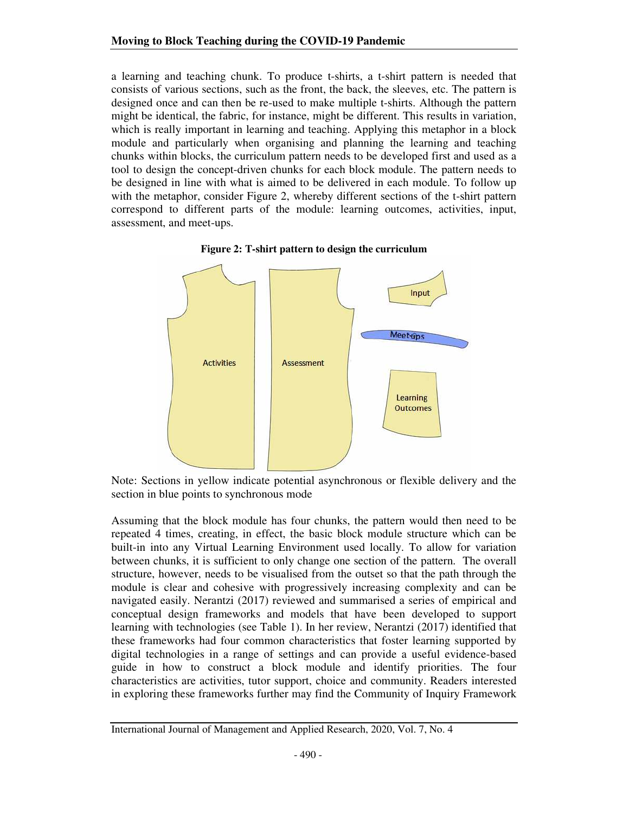a learning and teaching chunk. To produce t-shirts, a t-shirt pattern is needed that consists of various sections, such as the front, the back, the sleeves, etc. The pattern is designed once and can then be re-used to make multiple t-shirts. Although the pattern might be identical, the fabric, for instance, might be different. This results in variation, which is really important in learning and teaching. Applying this metaphor in a block module and particularly when organising and planning the learning and teaching chunks within blocks, the curriculum pattern needs to be developed first and used as a tool to design the concept-driven chunks for each block module. The pattern needs to be designed in line with what is aimed to be delivered in each module. To follow up with the metaphor, consider Figure 2, whereby different sections of the t-shirt pattern correspond to different parts of the module: learning outcomes, activities, input, assessment, and meet-ups.



**Figure 2: T-shirt pattern to design the curriculum**

Note: Sections in yellow indicate potential asynchronous or flexible delivery and the section in blue points to synchronous mode

Assuming that the block module has four chunks, the pattern would then need to be repeated 4 times, creating, in effect, the basic block module structure which can be built-in into any Virtual Learning Environment used locally. To allow for variation between chunks, it is sufficient to only change one section of the pattern. The overall structure, however, needs to be visualised from the outset so that the path through the module is clear and cohesive with progressively increasing complexity and can be navigated easily. Nerantzi (2017) reviewed and summarised a series of empirical and conceptual design frameworks and models that have been developed to support learning with technologies (see Table 1). In her review, Nerantzi (2017) identified that these frameworks had four common characteristics that foster learning supported by digital technologies in a range of settings and can provide a useful evidence-based guide in how to construct a block module and identify priorities. The four characteristics are activities, tutor support, choice and community. Readers interested in exploring these frameworks further may find the Community of Inquiry Framework

International Journal of Management and Applied Research, 2020, Vol. 7, No. 4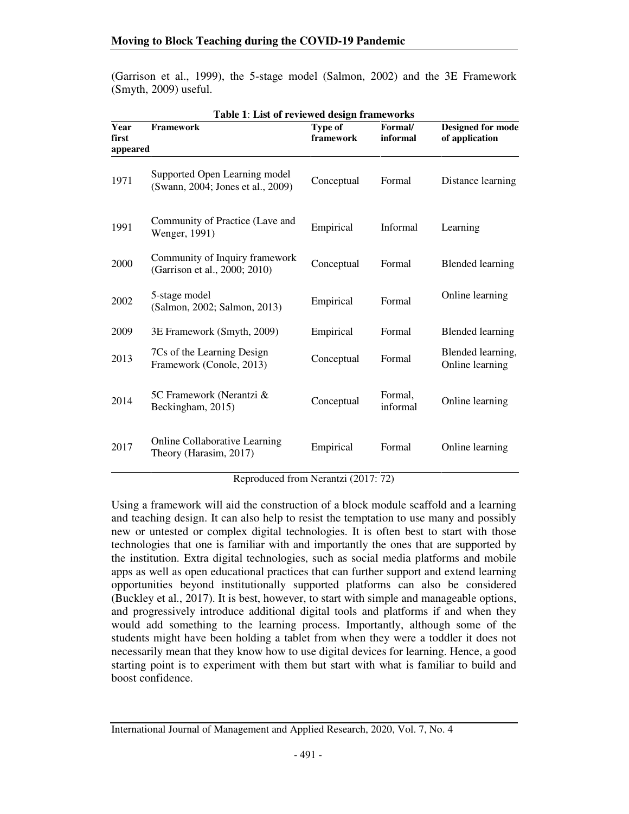(Garrison et al., 1999), the 5-stage model (Salmon, 2002) and the 3E Framework (Smyth, 2009) useful.

| Table 1: List of reviewed design frameworks |                                                                    |                             |                     |                                            |
|---------------------------------------------|--------------------------------------------------------------------|-----------------------------|---------------------|--------------------------------------------|
| Year<br>first                               | <b>Framework</b>                                                   | <b>Type of</b><br>framework | Formal/<br>informal | <b>Designed for mode</b><br>of application |
| appeared                                    |                                                                    |                             |                     |                                            |
| 1971                                        | Supported Open Learning model<br>(Swann, 2004; Jones et al., 2009) | Conceptual                  | Formal              | Distance learning                          |
| 1991                                        | Community of Practice (Lave and<br>Wenger, 1991)                   | Empirical                   | <b>Informal</b>     | Learning                                   |
| 2000                                        | Community of Inquiry framework<br>(Garrison et al., 2000; 2010)    | Conceptual                  | Formal              | <b>Blended learning</b>                    |
| 2002                                        | 5-stage model<br>(Salmon, 2002; Salmon, 2013)                      | Empirical                   | Formal              | Online learning                            |
| 2009                                        | 3E Framework (Smyth, 2009)                                         | Empirical                   | Formal              | <b>Blended learning</b>                    |
| 2013                                        | 7Cs of the Learning Design<br>Framework (Conole, 2013)             | Conceptual                  | Formal              | Blended learning,<br>Online learning       |
| 2014                                        | 5C Framework (Nerantzi &<br>Beckingham, 2015)                      | Conceptual                  | Formal,<br>informal | Online learning                            |
| 2017                                        | Online Collaborative Learning<br>Theory (Harasim, 2017)            | Empirical                   | Formal              | Online learning                            |

**Table 1**: **List of reviewed design frameworks**

Reproduced from Nerantzi (2017: 72)

Using a framework will aid the construction of a block module scaffold and a learning and teaching design. It can also help to resist the temptation to use many and possibly new or untested or complex digital technologies. It is often best to start with those technologies that one is familiar with and importantly the ones that are supported by the institution. Extra digital technologies, such as social media platforms and mobile apps as well as open educational practices that can further support and extend learning opportunities beyond institutionally supported platforms can also be considered (Buckley et al., 2017). It is best, however, to start with simple and manageable options, and progressively introduce additional digital tools and platforms if and when they would add something to the learning process. Importantly, although some of the students might have been holding a tablet from when they were a toddler it does not necessarily mean that they know how to use digital devices for learning. Hence, a good starting point is to experiment with them but start with what is familiar to build and boost confidence.

International Journal of Management and Applied Research, 2020, Vol. 7, No. 4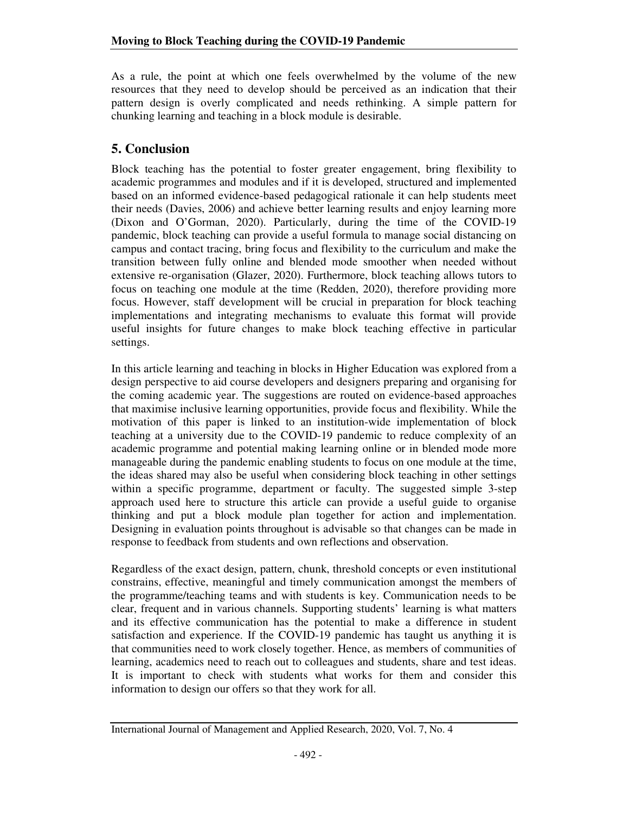As a rule, the point at which one feels overwhelmed by the volume of the new resources that they need to develop should be perceived as an indication that their pattern design is overly complicated and needs rethinking. A simple pattern for chunking learning and teaching in a block module is desirable.

### **5. Conclusion**

Block teaching has the potential to foster greater engagement, bring flexibility to academic programmes and modules and if it is developed, structured and implemented based on an informed evidence-based pedagogical rationale it can help students meet their needs (Davies, 2006) and achieve better learning results and enjoy learning more (Dixon and O'Gorman, 2020). Particularly, during the time of the COVID-19 pandemic, block teaching can provide a useful formula to manage social distancing on campus and contact tracing, bring focus and flexibility to the curriculum and make the transition between fully online and blended mode smoother when needed without extensive re-organisation (Glazer, 2020). Furthermore, block teaching allows tutors to focus on teaching one module at the time (Redden, 2020), therefore providing more focus. However, staff development will be crucial in preparation for block teaching implementations and integrating mechanisms to evaluate this format will provide useful insights for future changes to make block teaching effective in particular settings.

In this article learning and teaching in blocks in Higher Education was explored from a design perspective to aid course developers and designers preparing and organising for the coming academic year. The suggestions are routed on evidence-based approaches that maximise inclusive learning opportunities, provide focus and flexibility. While the motivation of this paper is linked to an institution-wide implementation of block teaching at a university due to the COVID-19 pandemic to reduce complexity of an academic programme and potential making learning online or in blended mode more manageable during the pandemic enabling students to focus on one module at the time, the ideas shared may also be useful when considering block teaching in other settings within a specific programme, department or faculty. The suggested simple 3-step approach used here to structure this article can provide a useful guide to organise thinking and put a block module plan together for action and implementation. Designing in evaluation points throughout is advisable so that changes can be made in response to feedback from students and own reflections and observation.

Regardless of the exact design, pattern, chunk, threshold concepts or even institutional constrains, effective, meaningful and timely communication amongst the members of the programme/teaching teams and with students is key. Communication needs to be clear, frequent and in various channels. Supporting students' learning is what matters and its effective communication has the potential to make a difference in student satisfaction and experience. If the COVID-19 pandemic has taught us anything it is that communities need to work closely together. Hence, as members of communities of learning, academics need to reach out to colleagues and students, share and test ideas. It is important to check with students what works for them and consider this information to design our offers so that they work for all.

International Journal of Management and Applied Research, 2020, Vol. 7, No. 4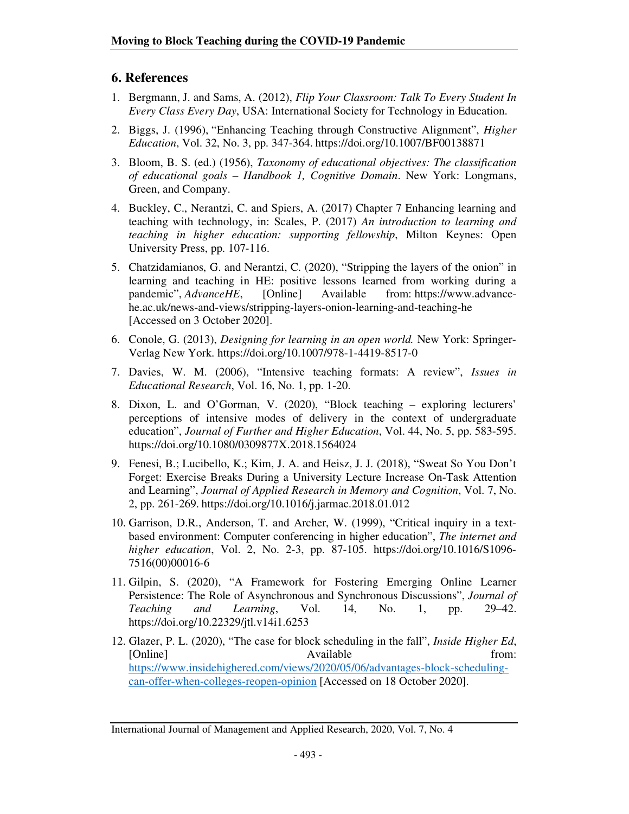#### **6. References**

- 1. Bergmann, J. and Sams, A. (2012), *Flip Your Classroom: Talk To Every Student In Every Class Every Day*, USA: International Society for Technology in Education.
- 2. Biggs, J. (1996), "Enhancing Teaching through Constructive Alignment", *Higher Education*, Vol. 32, No. 3, pp. 347-364. https://doi.org/10.1007/BF00138871
- 3. Bloom, B. S. (ed.) (1956), *Taxonomy of educational objectives: The classification of educational goals – Handbook 1, Cognitive Domain*. New York: Longmans, Green, and Company.
- 4. Buckley, C., Nerantzi, C. and Spiers, A. (2017) Chapter 7 Enhancing learning and teaching with technology, in: Scales, P. (2017) *An introduction to learning and teaching in higher education: supporting fellowship*, Milton Keynes: Open University Press, pp. 107-116.
- 5. Chatzidamianos, G. and Nerantzi, C. (2020), "Stripping the layers of the onion" in learning and teaching in HE: positive lessons learned from working during a pandemic", *AdvanceHE*, [Online] Available from: https://www.advancehe.ac.uk/news-and-views/stripping-layers-onion-learning-and-teaching-he [Accessed on 3 October 2020].
- 6. Conole, G. (2013), *Designing for learning in an open world.* New York: Springer-Verlag New York. https://doi.org/10.1007/978-1-4419-8517-0
- 7. Davies, W. M. (2006), "Intensive teaching formats: A review", *Issues in Educational Research*, Vol. 16, No. 1, pp. 1-20.
- 8. Dixon, L. and O'Gorman, V. (2020), "Block teaching exploring lecturers' perceptions of intensive modes of delivery in the context of undergraduate education", *Journal of Further and Higher Education*, Vol. 44, No. 5, pp. 583-595. https://doi.org/10.1080/0309877X.2018.1564024
- 9. Fenesi, B.; Lucibello, K.; Kim, J. A. and Heisz, J. J. (2018), "Sweat So You Don't Forget: Exercise Breaks During a University Lecture Increase On-Task Attention and Learning", *Journal of Applied Research in Memory and Cognition*, Vol. 7, No. 2, pp. 261-269. https://doi.org/10.1016/j.jarmac.2018.01.012
- 10. Garrison, D.R., Anderson, T. and Archer, W. (1999), "Critical inquiry in a textbased environment: Computer conferencing in higher education", *The internet and higher education*, Vol. 2, No. 2-3, pp. 87-105. https://doi.org/10.1016/S1096- 7516(00)00016-6
- 11. Gilpin, S. (2020), "A Framework for Fostering Emerging Online Learner Persistence: The Role of Asynchronous and Synchronous Discussions", *Journal of Teaching and Learning*, Vol. 14, No. 1, pp. 29–42. https://doi.org/10.22329/jtl.v14i1.6253
- 12. Glazer, P. L. (2020), "The case for block scheduling in the fall", *Inside Higher Ed*, [Online] Available from: https://www.insidehighered.com/views/2020/05/06/advantages-block-schedulingcan-offer-when-colleges-reopen-opinion [Accessed on 18 October 2020].

International Journal of Management and Applied Research, 2020, Vol. 7, No. 4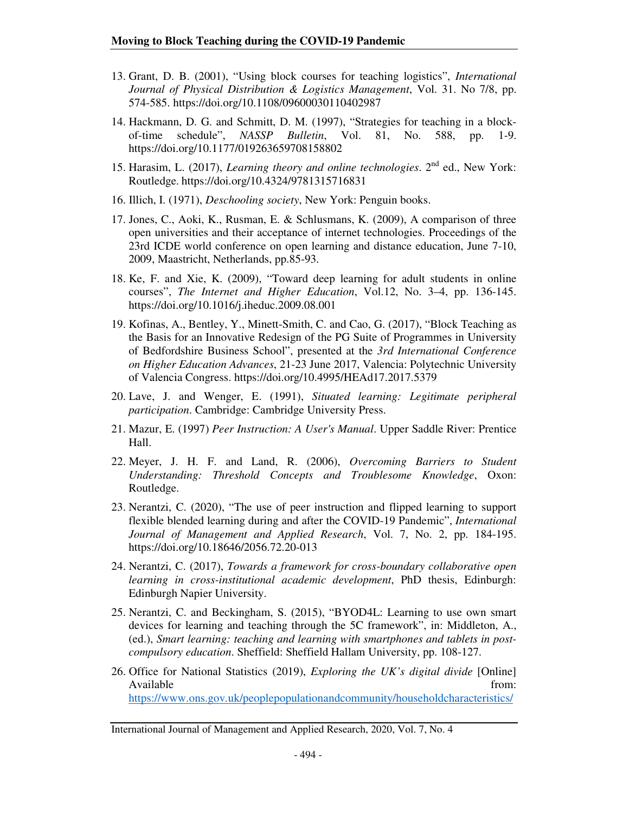- 13. Grant, D. B. (2001), "Using block courses for teaching logistics", *International Journal of Physical Distribution & Logistics Management*, Vol. 31. No 7/8, pp. 574-585. https://doi.org/10.1108/09600030110402987
- 14. Hackmann, D. G. and Schmitt, D. M. (1997), "Strategies for teaching in a blockof-time schedule", *NASSP Bulletin*, Vol. 81, No. 588, pp. 1-9. https://doi.org/10.1177/019263659708158802
- 15. Harasim, L. (2017), *Learning theory and online technologies*. 2<sup>nd</sup> ed., New York: Routledge. https://doi.org/10.4324/9781315716831
- 16. Illich, I. (1971), *Deschooling society*, New York: Penguin books.
- 17. Jones, C., Aoki, K., Rusman, E. & Schlusmans, K. (2009), A comparison of three open universities and their acceptance of internet technologies. Proceedings of the 23rd ICDE world conference on open learning and distance education, June 7-10, 2009, Maastricht, Netherlands, pp.85-93.
- 18. Ke, F. and Xie, K. (2009), "Toward deep learning for adult students in online courses", *The Internet and Higher Education*, Vol.12, No. 3–4, pp. 136-145. https://doi.org/10.1016/j.iheduc.2009.08.001
- 19. Kofinas, A., Bentley, Y., Minett-Smith, C. and Cao, G. (2017), "Block Teaching as the Basis for an Innovative Redesign of the PG Suite of Programmes in University of Bedfordshire Business School", presented at the *3rd International Conference on Higher Education Advances*, 21-23 June 2017, Valencia: Polytechnic University of Valencia Congress. https://doi.org/10.4995/HEAd17.2017.5379
- 20. Lave, J. and Wenger, E. (1991), *Situated learning: Legitimate peripheral participation*. Cambridge: Cambridge University Press.
- 21. Mazur, E. (1997) *Peer Instruction: A User's Manual*. Upper Saddle River: Prentice Hall.
- 22. Meyer, J. H. F. and Land, R. (2006), *Overcoming Barriers to Student Understanding: Threshold Concepts and Troublesome Knowledge*, Oxon: Routledge.
- 23. Nerantzi, C. (2020), "The use of peer instruction and flipped learning to support flexible blended learning during and after the COVID-19 Pandemic", *International Journal of Management and Applied Research*, Vol. 7, No. 2, pp. 184-195. https://doi.org/10.18646/2056.72.20-013
- 24. Nerantzi, C. (2017), *Towards a framework for cross-boundary collaborative open learning in cross-institutional academic development*, PhD thesis, Edinburgh: Edinburgh Napier University.
- 25. Nerantzi, C. and Beckingham, S. (2015), "BYOD4L: Learning to use own smart devices for learning and teaching through the 5C framework", in: Middleton, A., (ed.), *Smart learning: teaching and learning with smartphones and tablets in postcompulsory education*. Sheffield: Sheffield Hallam University, pp. 108-127.
- 26. Office for National Statistics (2019), *Exploring the UK's digital divide* [Online] Available from: https://www.ons.gov.uk/peoplepopulationandcommunity/householdcharacteristics/

International Journal of Management and Applied Research, 2020, Vol. 7, No. 4